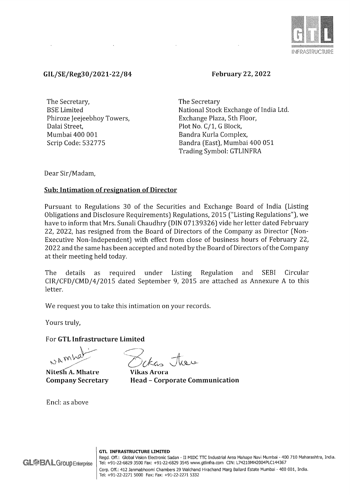

## GIL/SE/Reg30/2021-22/84

February 22, 2022

The Secretary, BSE Limited Phiroze Jeejeebhoy Towers, Dalai Street, Mumbai 400 001 Scrip Code: 532775

The Secretary National Stock Exchange of India Ltd. Exchange Plaza, 5th Floor, Plot No. C/1, G Block, Bandra Kurla Complex, Bandra (East), Mumbai 400 051 Trading Symbol: GTLINFRA

Dear Sir/Madam,

## Sub: Intimation of resignation of Director

Pursuant to Regulations 30 of the Securities and Exchange Board of India (Listing Obligations and Disclosure Requirements) Regulations, 2015 ("Listing Regulations"), we have to inform that Mrs. Sunali Chaudhry (DIN 07139326) vide her letter dated February 22, 2022, has resigned from the Board of Directors of the Company as Director (Non-Executive Non-Independent) with effect from close of business hours of February 22, 2022 and the same has been accepted and noted by the Board of Directors of the Company at their meeting held today.

The details as required under Listing Regulation and SEBI Circular CIR/CFD/CMD/4/2015 dated September 9, 2015 are attached as Annexure A to this letter.

We request you to take this intimation on your records.

Yours truly,

For GTL Infrastructure Limited

WAMY

Nitesh A. Mhatre Company Secretary

Encl: as above

Sekas there

Vikas Arora Head - Corporate Communication

GTL INFRASTRUCTURE LIMITED

Regd. Off.: Global Vision Electronic Sadan - II MIDC TTC Industrial Area Mahape Navi Mumbai - 400 710 Maharashtra, India. Tel: +91-22-6829 3500 Fax: +91-22-6829 3545 www.gtlinfra.com CIN: L74210MH2004PLC144367 Corp. Off.: 412 3anmabhoomi Chambers 29 Walchand Hirachand Marg Ballard Estate Mumbai - 400 001, India. Tel: +91-22-2271 5000 Fax: Fax: +91-22-2271 5332

**GL@BAL Group Enterprise**